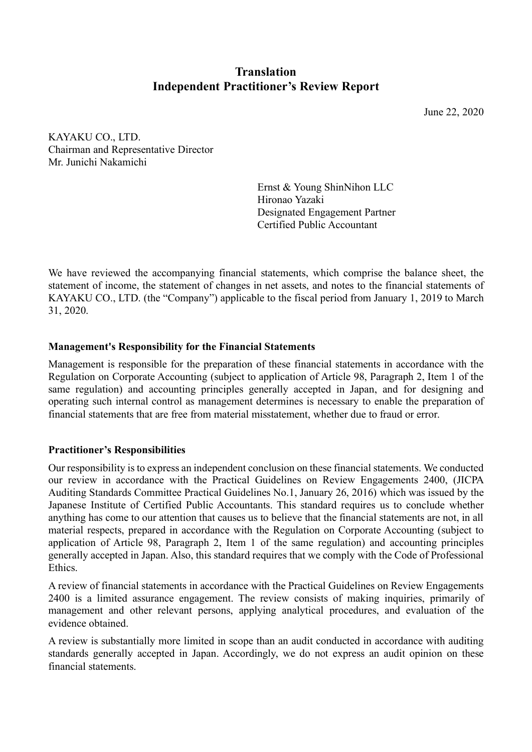# **Translation Independent Practitioner's Review Report**

June 22, 2020

KAYAKU CO., LTD. Chairman and Representative Director Mr. Junichi Nakamichi

> Ernst & Young ShinNihon LLC Hironao Yazaki Designated Engagement Partner Certified Public Accountant

We have reviewed the accompanying financial statements, which comprise the balance sheet, the statement of income, the statement of changes in net assets, and notes to the financial statements of KAYAKU CO., LTD. (the "Company") applicable to the fiscal period from January 1, 2019 to March 31, 2020.

# **Management's Responsibility for the Financial Statements**

Management is responsible for the preparation of these financial statements in accordance with the Regulation on Corporate Accounting (subject to application of Article 98, Paragraph 2, Item 1 of the same regulation) and accounting principles generally accepted in Japan, and for designing and operating such internal control as management determines is necessary to enable the preparation of financial statements that are free from material misstatement, whether due to fraud or error.

# **Practitioner's Responsibilities**

Our responsibility is to express an independent conclusion on these financial statements. We conducted our review in accordance with the Practical Guidelines on Review Engagements 2400, (JICPA Auditing Standards Committee Practical Guidelines No.1, January 26, 2016) which was issued by the Japanese Institute of Certified Public Accountants. This standard requires us to conclude whether anything has come to our attention that causes us to believe that the financial statements are not, in all material respects, prepared in accordance with the Regulation on Corporate Accounting (subject to application of Article 98, Paragraph 2, Item 1 of the same regulation) and accounting principles generally accepted in Japan. Also, this standard requires that we comply with the Code of Professional Ethics.

A review of financial statements in accordance with the Practical Guidelines on Review Engagements 2400 is a limited assurance engagement. The review consists of making inquiries, primarily of management and other relevant persons, applying analytical procedures, and evaluation of the evidence obtained.

A review is substantially more limited in scope than an audit conducted in accordance with auditing standards generally accepted in Japan. Accordingly, we do not express an audit opinion on these financial statements.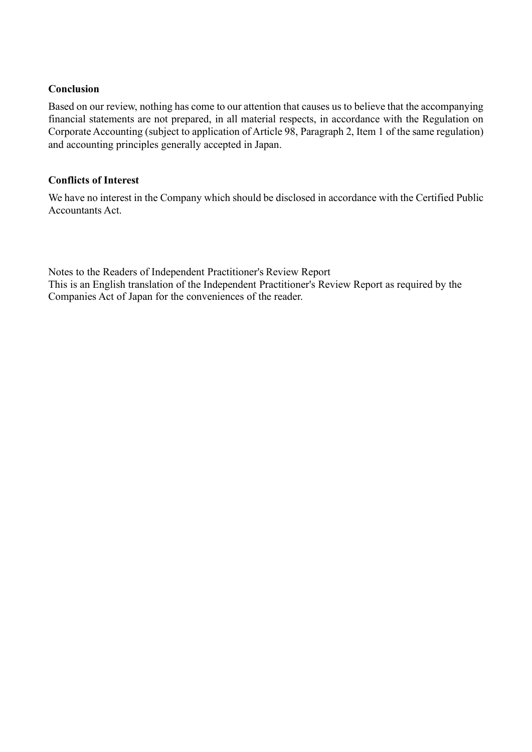## **Conclusion**

Based on our review, nothing has come to our attention that causes us to believe that the accompanying financial statements are not prepared, in all material respects, in accordance with the Regulation on Corporate Accounting (subject to application of Article 98, Paragraph 2, Item 1 of the same regulation) and accounting principles generally accepted in Japan.

## **Conflicts of Interest**

We have no interest in the Company which should be disclosed in accordance with the Certified Public Accountants Act.

Notes to the Readers of Independent Practitioner's Review Report This is an English translation of the Independent Practitioner's Review Report as required by the Companies Act of Japan for the conveniences of the reader.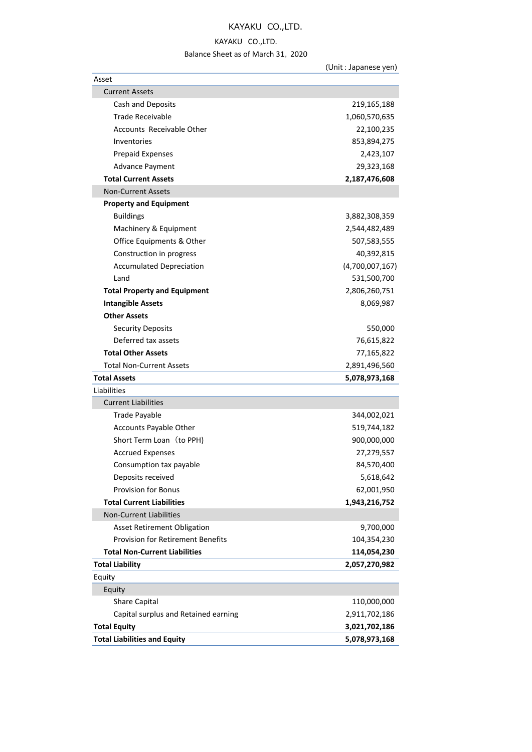# KAYAKU CO.,LTD.

### KAYAKU CO.,LTD.

### Balance Sheet as of March 31,2020

|                                          | (Unit : Japanese yen) |
|------------------------------------------|-----------------------|
| Asset                                    |                       |
| <b>Current Assets</b>                    |                       |
| Cash and Deposits                        | 219,165,188           |
| <b>Trade Receivable</b>                  | 1,060,570,635         |
| Accounts Receivable Other                | 22,100,235            |
| Inventories                              | 853,894,275           |
| <b>Prepaid Expenses</b>                  | 2,423,107             |
| Advance Payment                          | 29,323,168            |
| <b>Total Current Assets</b>              | 2,187,476,608         |
| <b>Non-Current Assets</b>                |                       |
| <b>Property and Equipment</b>            |                       |
| <b>Buildings</b>                         | 3,882,308,359         |
| Machinery & Equipment                    | 2,544,482,489         |
| Office Equipments & Other                | 507,583,555           |
| Construction in progress                 | 40,392,815            |
| <b>Accumulated Depreciation</b>          | (4,700,007,167)       |
| Land                                     | 531,500,700           |
| <b>Total Property and Equipment</b>      | 2,806,260,751         |
| <b>Intangible Assets</b>                 | 8,069,987             |
| <b>Other Assets</b>                      |                       |
| <b>Security Deposits</b>                 | 550,000               |
| Deferred tax assets                      | 76,615,822            |
| <b>Total Other Assets</b>                | 77,165,822            |
| <b>Total Non-Current Assets</b>          | 2,891,496,560         |
| <b>Total Assets</b>                      | 5,078,973,168         |
| Liabilities                              |                       |
| <b>Current Liabilities</b>               |                       |
| <b>Trade Payable</b>                     | 344,002,021           |
| Accounts Payable Other                   | 519,744,182           |
| Short Term Loan (to PPH)                 | 900,000,000           |
| <b>Accrued Expenses</b>                  | 27,279,557            |
| Consumption tax payable                  | 84,570,400            |
| Deposits received                        | 5,618,642             |
| <b>Provision for Bonus</b>               | 62,001,950            |
| <b>Total Current Liabilities</b>         | 1,943,216,752         |
| <b>Non-Current Liabilities</b>           |                       |
| <b>Asset Retirement Obligation</b>       | 9,700,000             |
| <b>Provision for Retirement Benefits</b> | 104,354,230           |
| <b>Total Non-Current Liabilities</b>     | 114,054,230           |
| <b>Total Liability</b>                   | 2,057,270,982         |
| Equity                                   |                       |
| Equity                                   |                       |
| Share Capital                            | 110,000,000           |
| Capital surplus and Retained earning     | 2,911,702,186         |
| <b>Total Equity</b>                      | 3,021,702,186         |
| <b>Total Liabilities and Equity</b>      | 5,078,973,168         |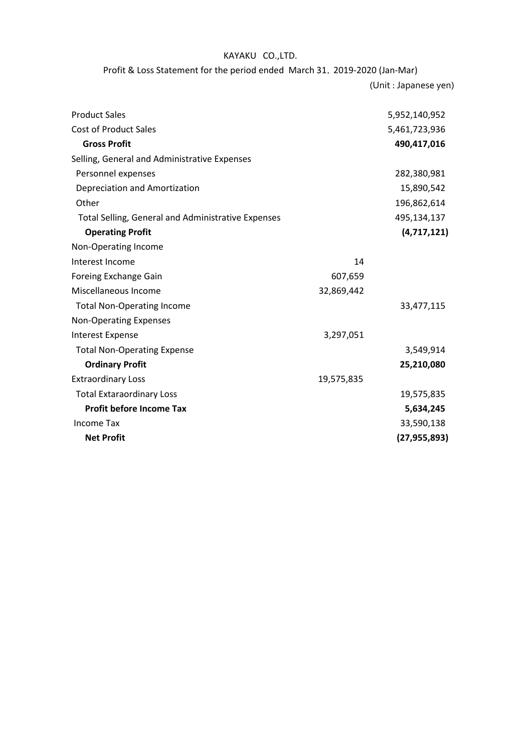## KAYAKU CO.,LTD.

Profit & Loss Statement for the period ended March 31,2019-2020 (Jan-Mar)

(Unit : Japanese yen)

| <b>Product Sales</b>                               |            | 5,952,140,952  |
|----------------------------------------------------|------------|----------------|
| <b>Cost of Product Sales</b>                       |            | 5,461,723,936  |
| <b>Gross Profit</b>                                |            | 490,417,016    |
| Selling, General and Administrative Expenses       |            |                |
| Personnel expenses                                 |            | 282,380,981    |
| Depreciation and Amortization                      |            | 15,890,542     |
| Other                                              |            | 196,862,614    |
| Total Selling, General and Administrative Expenses |            | 495,134,137    |
| <b>Operating Profit</b>                            |            | (4,717,121)    |
| Non-Operating Income                               |            |                |
| Interest Income                                    | 14         |                |
| Foreing Exchange Gain                              | 607,659    |                |
| Miscellaneous Income                               | 32,869,442 |                |
| <b>Total Non-Operating Income</b>                  |            | 33,477,115     |
| <b>Non-Operating Expenses</b>                      |            |                |
| <b>Interest Expense</b>                            | 3,297,051  |                |
| <b>Total Non-Operating Expense</b>                 |            | 3,549,914      |
| <b>Ordinary Profit</b>                             |            | 25,210,080     |
| <b>Extraordinary Loss</b>                          | 19,575,835 |                |
| <b>Total Extaraordinary Loss</b>                   |            | 19,575,835     |
| <b>Profit before Income Tax</b>                    |            | 5,634,245      |
| Income Tax                                         |            | 33,590,138     |
| <b>Net Profit</b>                                  |            | (27, 955, 893) |
|                                                    |            |                |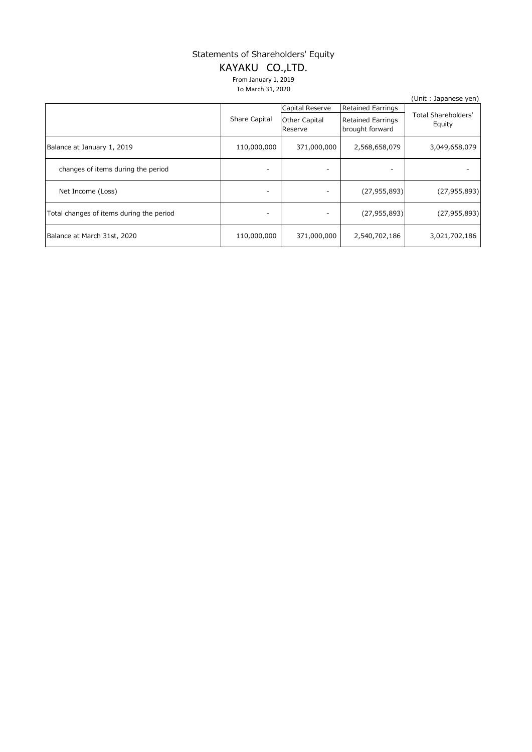## Statements of Shareholders' Equity

# KAYAKU CO.,LTD.

From January 1, 2019 To March 31, 2020

|                                          |               |                          |                                             | (Unit: Japanese yen)                 |
|------------------------------------------|---------------|--------------------------|---------------------------------------------|--------------------------------------|
|                                          |               | Capital Reserve          | <b>Retained Earrings</b>                    | <b>Total Shareholders'</b><br>Equity |
|                                          | Share Capital | Other Capital<br>Reserve | <b>Retained Earrings</b><br>brought forward |                                      |
| Balance at January 1, 2019               | 110,000,000   | 371,000,000              | 2,568,658,079                               | 3,049,658,079                        |
| changes of items during the period       |               |                          |                                             |                                      |
| Net Income (Loss)                        |               |                          | (27, 955, 893)                              | (27, 955, 893)                       |
| Total changes of items during the period | -             |                          | (27, 955, 893)                              | (27, 955, 893)                       |
| Balance at March 31st, 2020              | 110,000,000   | 371,000,000              | 2,540,702,186                               | 3,021,702,186                        |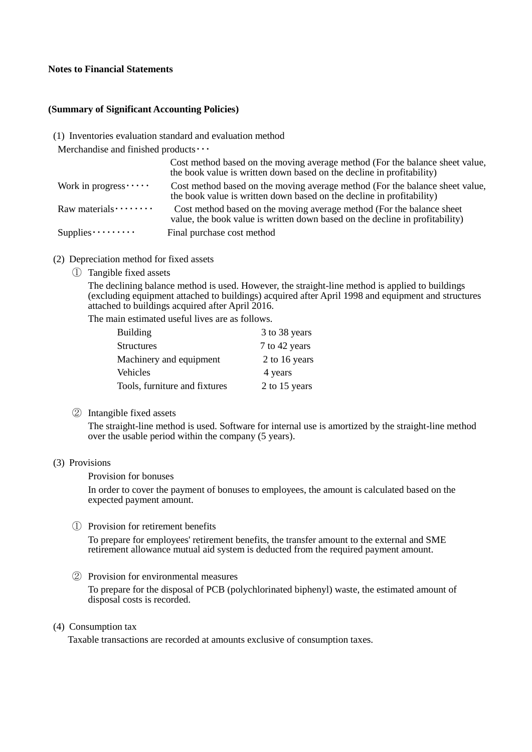### **Notes to Financial Statements**

### **(Summary of Significant Accounting Policies)**

(1) Inventories evaluation standard and evaluation method

Merchandise and finished products · · ·

|                           | Cost method based on the moving average method (For the balance sheet value,<br>the book value is written down based on the decline in profitability)  |
|---------------------------|--------------------------------------------------------------------------------------------------------------------------------------------------------|
| Work in progress $\cdots$ | Cost method based on the moving average method (For the balance sheet value,<br>the book value is written down based on the decline in profitability)  |
| Raw materials $\cdots$    | Cost method based on the moving average method (For the balance sheet)<br>value, the book value is written down based on the decline in profitability) |
| Supplies $\cdots$         | Final purchase cost method                                                                                                                             |

- (2) Depreciation method for fixed assets
	- ① Tangible fixed assets

The declining balance method is used. However, the straight-line method is applied to buildings (excluding equipment attached to buildings) acquired after April 1998 and equipment and structures attached to buildings acquired after April 2016.

The main estimated useful lives are as follows.

| <b>Building</b>               | 3 to 38 years |
|-------------------------------|---------------|
| <b>Structures</b>             | 7 to 42 years |
| Machinery and equipment       | 2 to 16 years |
| Vehicles                      | 4 years       |
| Tools, furniture and fixtures | 2 to 15 years |

② Intangible fixed assets

The straight-line method is used. Software for internal use is amortized by the straight-line method over the usable period within the company (5 years).

### (3) Provisions

#### Provision for bonuses

In order to cover the payment of bonuses to employees, the amount is calculated based on the expected payment amount.

### ① Provision for retirement benefits

To prepare for employees' retirement benefits, the transfer amount to the external and SME retirement allowance mutual aid system is deducted from the required payment amount.

② Provision for environmental measures

To prepare for the disposal of PCB (polychlorinated biphenyl) waste, the estimated amount of disposal costs is recorded.

#### (4) Consumption tax

Taxable transactions are recorded at amounts exclusive of consumption taxes.